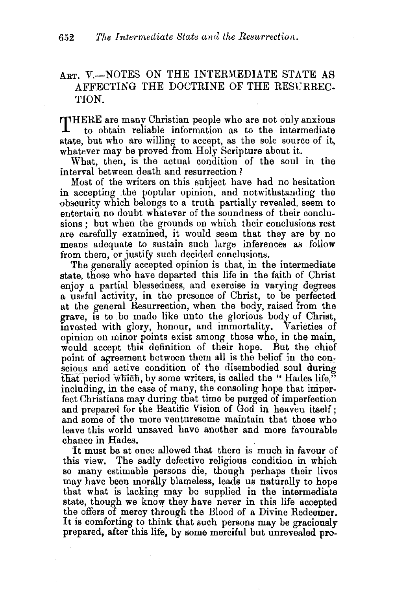## $A_{RT}$ ,  $V = NOTES$  ON THE INTERMEDIATE STATE AS AFFECTING THE DOCTRINE OF THE RESGRREC-TION.

THERE are many Christian people who are not only anxious to obtain reliable information as to the intermediate state, but who are willing to accept, as the sole source of it, whatever may be proved from Holy Scripture about it.

What, then, is the actual condition of the soul in the interval between death and resurrection ?

Most of the writers on this subject have had no hesitation in accepting .the popular opinion, and notwithstanding the obscurity which belongs to a truth partially revealed, seem to entertain no doubt whatever of the soundness of their conclusions ; but when the grounds on which their conclusions rest are carefully examined, it would seem that they are by no means adequate to sustain such large inferences as follow from them, or justify such decided conclusions.

The generally accepted opinion is that, in the intermediate state, those who have departed this life in the faith of Christ enjoy a partial blessedness, and exercise in varying degrees a useful activity, in the presence of Christ, to be perfected at the general Resurrection, when the body, raised from the grave, is to be made like unto the glorious body of Christ. mvested with glory, honour, and immortality. Varieties of opinion on minor points exist among those who, in the main, would accept this definition of their hope. But the chief point of agreement between them all is the belief in the conscions and active condition of the disembodied soul during that period which, by some writers, is called the "Hades life," including, in the case of many, the consoling hope that imperfect Christians may during that time be purged of imperfection and prepared for the Beatific Vision of God in heaven itself; and some of the more venturesome maintain that those who leave this world unsaved have another and more favourable chance in Hades.

1t must be at once allowed that there is much in favour of this view. The sadly defective religious condition in which so many estimable persons die, though perhaps their lives may have been morally blameless, leads us naturally to hope that what is lacking may be supplied in the intermediate state, though we know they have never in this life accepted the offers of mercy through the Blood of a Divine Redeemer. It is comforting to think that such persons may be graciously prepared, after this life, by some merciful but unrevealed pro-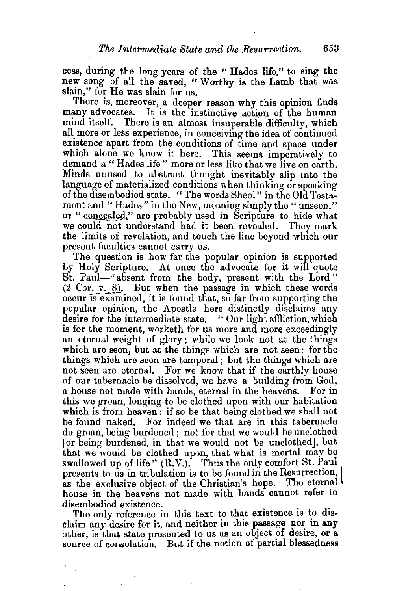cess, during the long years of the " Hades life," to sing the new song of all the saved, " Worthy is the Lamb that was slain," for He was slain for us.

There is, moreover, a deeper reason why this opinion finds many advocates. It is the instinctive action of the human mind itself. There is an almost insuperable difficulty, which all more or less experience, in conceiving the idea of continued existence apart from the conditions of time and space under which alone we know it here. This seems imperatively to demand a " Hades life " more or less like that we live on earth. Minds unused to abstract thought inevitably slip into the language of materialized conditions when thinking or speaking of the disembodied state. "The words Sheol" in the Old Testament and "Hades" in the New, meaning simply the "unseen," or "concealed," are probably used in Scripture to hide what we could not understand had it been revealed. They mark the limits of revelation, and touch the line beyond wh1eh our present faculties cannot carry us.

The question is how far the popular opinion is supported by Holy Scripture. At once the advocate for it will quote St. Paul-"absent from the body, present with the Lord"  $(2 \text{Cor. } v. 8)$ . But when the passage in which these words occur is examined, it is found that, so far from supporting the popular opinion, the Apostle here distinctly disclaims any desire for the intermediate state. "Our light affliction, which is for the moment, worketh for us more and more exceedingly an eternal weight of glory; while we look not at the things which are seen, but at the things which are not seen: for the things which are seen are temporal; but the things which are not seen are eternal. For we know that if the earthly house of our tabernacle be dissolved, we have a building from God, a house not made with hands, eternal in the heavens. For in this we groan, longing to be clothed upon with our habitation which is from heaven: if so be that being clothed we shall not be found naked. For indeed we that are in this tabernacle do groan, being burdened ; not for that we would be unclothed [or being burdened, in that we would not be unclothed], but that we would be clothed upon, that what is mortal may be swallowed up of life" (R.V.). Thus the only comfort St. Paul presents to us in tribulation is to be found in the Resurrection, as the exclusive object of the Christian's hope. The eternal house in the heavens not made with hands cannot refer to disembodied existence.

The only reference in this text to that existence is to disclaim any desire for it, and neither in this passage nor in any other, is that state presented to us as an object of desire, or  $a + b$ source of consolation. But if the notion of partial blessedness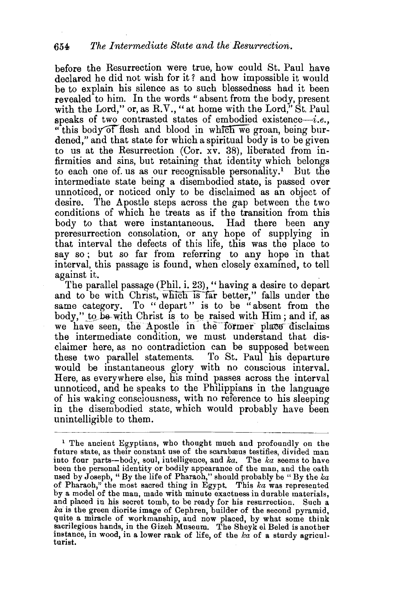before the Resurrection were true, how could St. Paul have declared he did not wish for it? and how impossible it would be to explain his silence as to such blessedness had it been revealed to him. In the words "absent from the body, present with the Lord," or, as R.V., " at home with the Lord," St. Paul speaks of two contrasted states of embodied existence-i.e. "this body of flesh and blood in which we groan, being burdened," and that state for which a spiritual body is to be given to us at the Resurrection (Cor. xv. 38), liberated from infirmities and sins, but retaining that identity which belongs to each one of us as our recognisable personality.<sup>1</sup> But the intermediate state being a disembodied state, is passed over unnoticed, or noticed only to be disclaimed as an object of desire. The Apostle steps across the gap between the two conditions of which he treats as if the transition from this body to that were instantaneous. Had there been any preresurrection consolation, or any hope of supplying in that interval the defects of this life, this was the place to say so; but so far from referring to any hope in that interval, this passage is found, when closely examined, to tell

against it.<br>The parallel passage (Phil. i. 23), "having a desire to depart and to be with Christ, which is far better," falls under the same category. To "depart" is to be "absent from the body," to be with Christ is to be raised with Him; and if, as we have seen, the Apostle in the former place disclaims the intermediate condition, we must understand that disclaimer here, as no contradiction can be supposed between these two parallel statements. To St. Paul his departure would be instantaneous glory with no conscious interval. Here, as everywhere else, his mind passes across the interval unnoticed, and he speaks to the Philippians in the language of his waking consciousness, with no reference to his sleeping in the disembodied state, which would probably have been unintelligible to them.

<sup>&</sup>lt;sup>1</sup> The ancient Egyptians, who thought much and profoundly on the future state, as their constant use of the scarabæus testifies, divided man into four parts-body, soul, intelligence, and ka. The ka seems to have been the personal identity or bodily appearance of the man, and the oath used by Joseph, "By the life of Pharaoh," should probably be "By the  $ka$ of Pharaoh," the most sacred thing in Egypt. This *ka* was represented by a model of the man, made with minute exactness in durable materials, and placed in his secret tomb, to be ready for his resurrection. Such a *lea* is the green diorite image of Cephren, builder of the second pyramid, quite a miracle of workmanship, and now placed, by what some think sacrilegious hands, in the Gizeh Museum. The Sheyk el Beled is another instance, in wood, in a lower rank of life, of the  $k\alpha$  of a sturdy agricul-<br>turist.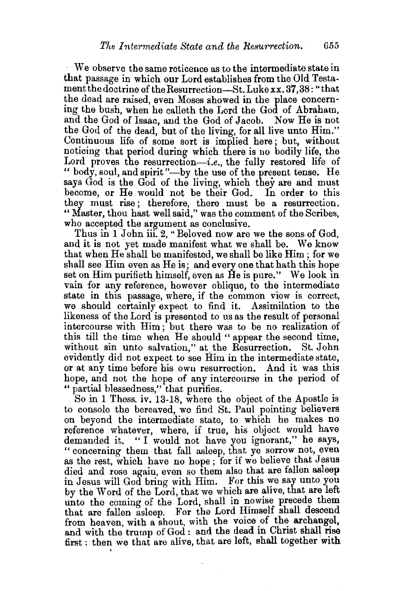We observe the same reticence as to the intermediate state in that passage in which our Lord establishes from the Old Testament the doctrine of the Resurrection-St. Luke xx. 37,38: "that the dead are raised, even Moses showed in the place concerning the bush, when he calleth the Lord the God of Abraham, and the God of Isaac, and the God of Jacob. Now He is not the God of the dead, but of the living, for all live unto Him." Continuous life of some sort is implied here; but, without noticing that period during which there is no bodily life, the Lord proves the resurrection-i.e., the fully restored life of " body, soul, and spirit "-by the use of the present tense. He says God is the God of the living, which they are and must become, or He would not be their God. In order to this they must rise; therefore, there must be a resurrection. " Master, thou hast well said," was the comment of the Scribes, who accepted the argument as conclusive.

Thus in 1 John iii. 2, " Beloved now are we the sons of God, and it is not yet made manifest what we shall be. We know that when He shall be manifested, we shall be like Him ; for we shall see Him even as He is; and every one that hath this hope set on Him purifieth himself, even as He is pure." We look in vain for any reference, however oblique, to the intermediate state in this passage, where, if the common view is correct, we should certainly expect to find it. Assimilation to the likeness of the Lord is presented to us as the result of personal intercourse with Him; but there was to be no realization of this till the time when He should " appear the second time, without sin unto salvation," at. the Resurrection. St. John evidently did not expect to see Him in the intermediate state, or at any time before his own resurrection. And it was this hope, and not the hope of any intercourse in the period of " partial blessedness," that purifies.

So in 1 Thess. iv. 13-18, where the object of the Apostle is to console the bereaved, we find St. Paul pointing believers on beyond the intermediate state, to which he makes no reference whatever, where, if true, his object would have demanded it. " I would not have you ignorant," he says, " concerning them that fall asleep, that ye sorrow not, even as the rest, which have no hope; for if we believe that Jesus died and rose again, even so them also that are fallen asleep in Jesus will God bring with Him. For this we say unto you by the Word of the Lord, that we which are alive, that are left unto the coming of the Lord, shall in nowise precede them that are fallen asleep. For the Lord Himself shall descend from heaven, with a shout, with the voice of the archangel. and with the trump of God : and the dead in Christ shall rise first: then we that are alive, that are left, shall together with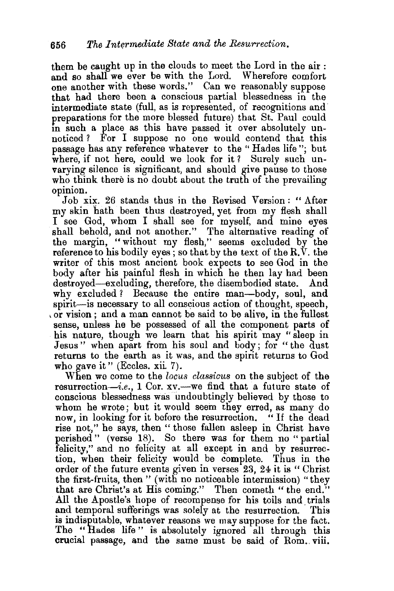them be caught up in the clouds to meet the Lord in the air : and so shall we ever be with the Lord. Wherefore comfort one another with these words." Can we reasonably suppose that had there been a conscious partial blessedness in the intermediate state (full, as is represented, of recognitions and· preparations for the more blessed future) that St. Paul could m such a place as this have passed it over absolutely unnoticed? For I suppose no one would contend that this passage has any reference whatever to the " Hades life "; but where, if not here, could we look for it ? Surely such unvarying silence is significant, and should give pause to those who think there is no doubt about the truth of the prevailing opinion.

Job xix. 26 stands thus in the Revised Version : " After my skin hath been thus destroyed, yet from my flesh shall I see God, whom I shall see for myself, and mine eyes shall behold, and not another." The alternative reading of the margin, "without my flesh," seems excluded by the reference to his bodily eyes; so that by the text of the  $R$ .  $V$ , the writer of this most ancient book expects to see God in the body after his painful flesh in which he then lay had been destroyed—excluding, therefore, the disembodied state. And why excluded? Because the entire man—body, soul, and spirit—is necessary to all conscious action of thought, speech, or vision; and a man cannot be said to be alive, in the fullest sense, unless he be possessed of all the component parts of his nature, though we learn that his spirit may "sleep in Jesus" when apart from his soul and body; for "the dust returns to the earth as it was, and the spirit returns to God who gave it" (Eccles. xii. 7).

When we come to the *locus classicus* on the subject of the resurrection-i.e., 1 Cor.  $xv$ . we find that a future state of conscious blessedness was undoubtingly believed by those to whom he wrote; but it would seem they erred, as many do now, in looking for it before the resurrection. "If the dead rise not,'' he says, then " those fallen asleep in Christ have perished " (verse 18). So there was for them no "partial felicity," and no felicity at all except in and by resurrection, when their felicity would be complete. Thus in the order of the future events given in verses 23, 24 it is " Christ the first-fruits, then " (with no noticeable intermission) "they that are Christ's at His coming." Then cometh "the end." All the Apostle's hope of recompense for his toils and. trials and temporal sufferings was solely at the resurrection. This is indisputable, whatever reasons we may suppose for the fact. The "Hades life" is absolutely ignored all through this crucial passage, and the same must be said of Rom. viii.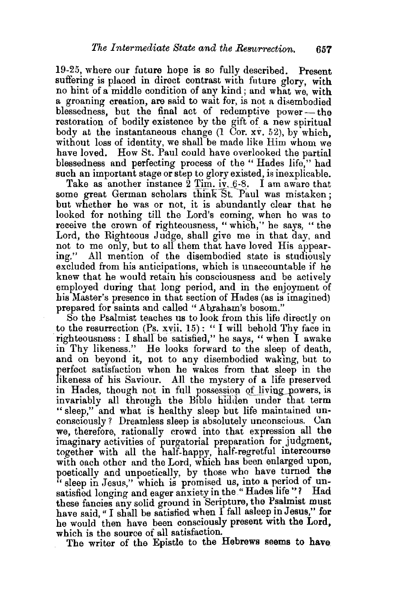19-25, where our future hope is so fully described. Present suffering is placed in direct contrast with future glory, with no hint of a middle condition of any kind; and what we, with a groaning creation, are said to wait for, is not a disembodied blessedness, but the final act of redemptive power—the restoration of bodily existence by the gift of a new spiritual body at the instantaneous change  $(1 \text{ Cor. } xy, 52)$ , by which, without loss of identity, we shall be made like Him whom we have loved. How St. Paul could have overlooked the partial blessedness and perfecting process of the "Hades life," had such an important stage or step to glory existed, is inexplicable.

Take as another instance  $2$  Tim. iv,  $6-8$ . I am aware that some great German scholars think St. Paul was mistaken; but whether he was or not, it is abundantly clear that he looked for nothing till the Lord's coming, when he was to receive the crown of righteousness, "which,'' he says, "the Lord, the Righteous Judge, shall give me in that day, and not to me only, but to all them that have loved His appearing." All mention of the disembodied state is studiously excluded from his anticipations, which is unaccountable if he knew that he would retain his consciousness and be actively employed during that long period, and in the enjoyment of his Master's presence in that section of Hades (as is imagined) prepared for saints and called "Abraham's bosom."

So the Psalmist teaches us to look from this life directly on to the resurrection (Ps. xvii. 15): "I will behold Thy face in righteousness: I shall be satisfied," he says, " when I awake in Thy likeness." He looks forward to the sleep of death, and on beyond it, not to any disembodied waking, but to perfect satisfaction when he wakes from that sleep in the likeness of his Saviour. All the mystery of a life preserved in Hades, though not in full possession of living powers, is invariably all through the Bible hidden under that term " sleep," and what is healthy sleep but life maintained un· consciously? Dreamless sleep is absolutely unconscious. Can we, therefore, rationally crowd into that expression all the imaginary activities of purgatorial preparation for judgment, together with all the half-happy, half-regretful intercourse with each other and the Lord, which has been enlarged upon, poetically and unpoetically, by those who have turned the " sleep in Jesus," which is promised us, into a period of unsatisfied longing and eager anxiety in the "Hades life"? Had these fancies any solid ground in Scripture, the Psalmist must have said, "I shall be satisfied when I fall asleep in Jesus," for he would' then have been consciously present with the Lord. which is the source of all satisfaction.

The writer of the Epistle to the Hebrews seems to have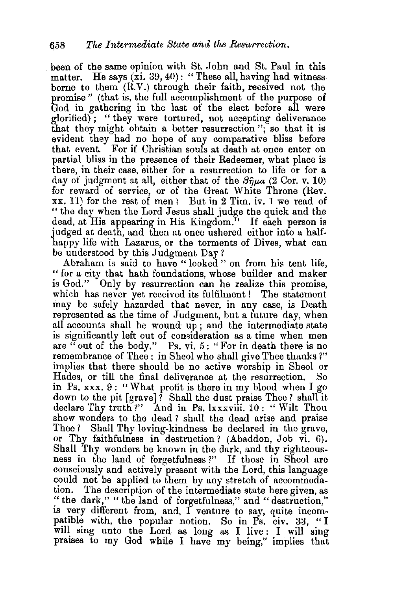. been of the same opinion with St. John and St. Paul in this matter. He says  $(\overline{x}i. 39, 40)$ : "These all, having had witness borne to them  $(R.V.)$  through their faith, received not the promise" (that is, the full accomplishment of the purpose of God in gathering in the last of the elect before all were glorified) ; " they were tortured, not accepting deliverance that they might obtain a better resurrection "; so that it is evident they had no hope of any comparative bliss before that event. For if Christian souls at death at once enter on partial bliss in the presence of their Redeemer, what place is there, in their case, either for a resurrection to life or for a day of judgment at all, either that of the  $\beta \hat{n} \mu a$  (2 Cor. v. 10) for reward of service, or of the Great White Throne (Rev. xx. 11) for the rest of men? But in 2 Tim. iv. 1 we read of "the day when the Lord Jesus shall judge the quick and the dead, at His appearing in His Kingdom." If each person is judged at death, and then at once ushered either into a halfhappy life with Lazarus, or the torments of Dives, what can be understood by this Judgment Day ?

Abraham is said to have " looked " on from his tent life, " for a city that hath foundations, whose builder and maker is God." Only by resurrection can he realize this promise, which has never yet received its fulfilment! The statement may be safely hazarded that never, in any case, is Death represented as the time of Judgment, but a future day, when all accounts shall be wound up; and the intermediate state is significantly left out of consideration as a time when men are "out of the body." Ps. vi. 5: "For in death there is no remembrance of Thee: in Sheol who shall give Thee thanks?" implies that there should be no active worship in Sheol or Hades, or till the final deliverance at the resurrection. So in Ps. xxx. 9 : "What profit is there in my blood when I go down to the pit [grave] ? Shall the dust praise Thee? shall it declare Thy truth?" And in Ps. lxxxviii. 10: "Wilt Thou show wonders to the dead? shall the dead arise and praise Thee? Shall Thy loving-kindness be declared in the grave, or Thy faithfulness in destruction? (Abaddon, Job vi. 6). Shall Thy wonders be known in the dark, and thy righteousness in the land of forgetfulness ?" If those in Sheol are consciously and actively present with the Lord, this language could not be applied to them by any stretch of accommodation. The description of the intermediate state here given, as "the dark," "the land of forgetfulness," and "destruction," is very different from, and, I venture to say, quite incompatible with, the popular notion. So in Ps. civ. 33, "I will sing unto the Lord as long as I live: I will sing praises to my God while I have my being," implies that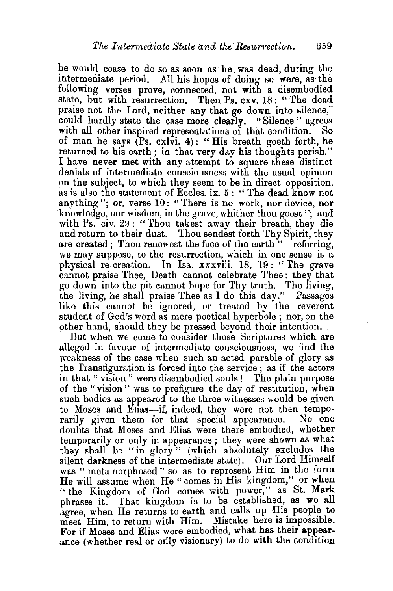he would cease to do so as soon as he was dead, during the intermediate period. All his hopes of doing so were, as the following verses prove, connected, not with a disembodied state, but with resurrection. Then Ps. cxv. 18: "The dead praise not the Lord, neither any that go down into silence,'' could hardly state the case more clearly. "Silence" agrees with all other inspired representations of that condition. of man he says  $(Ps. \cosh 4)$ : "His breath goeth forth, he returned to his earth; in that very day his thoughts perish." I have never met with any attempt to square these distinct denials of intermediate consciousness with the usual opinion on the subject, to which they seem to be in direct opposition, as is also the statement of Eccles. ix. 5 : " The dead know not anything"; or, verse 10: "There is no work, nor device, nor knowledge, nor wisdom, in the grave, whither thou goest "; and with Ps. civ. 29 : "Thou takest away their breath, they die and return to their dust. Thou sendest forth Thy Spirit, they are created: Thou renewest the face of the earth "-referring, we may suppose, to the resurrection, which in one sense is a physical re-creation. In Isa. xxxviii. 18, 19 : " The grave cannot praise Thee, Death cannot celebrate Thee : they that go down into the pit cannot hope for Thy truth. The living, the living, he shall praise Thee as I do this day." Passages like this cannot be ignored, or treated by the reverent student of God's word as mere poetical hyperbole ; nor, on the other hand, should they be pressed beyond their intention.

But when we come to consider those Scriptures which are alleged in favour of intermediate consciousness, we find the weakness of the case when such an acted parable of glory as the Transfiguration is forced into the service ; as if the actors in that " vision " were disembodied souls! The plain purpose of the "vision" was to prefigure the day of restitution, wben such bodies as appeared to the three witnesses would be given to Moses and Elias-if, indeed, they were not then temporarily given them for that special appearance. No one doubts that Moses and Elias were there embodied, whether temporarily or only in appearance; they were shown as what they shall be "in glory" (which absolutely excludes the silent darkness of the intermediate state). Our Lord Himself was "metamorphosed" so as to represent Him in the form He will assume when He "comes in His kingdom," or when "the Kingdom of God comes with power," as St. Mark phrases it. That kingdom is to be established, as we all agree, when He returns to earth and calls up His people to meet Him, to return with Him. Mistake here is impossible. For if Moses and Elias were embodied, what has their appearance (whether real or only visionary) to do with the condition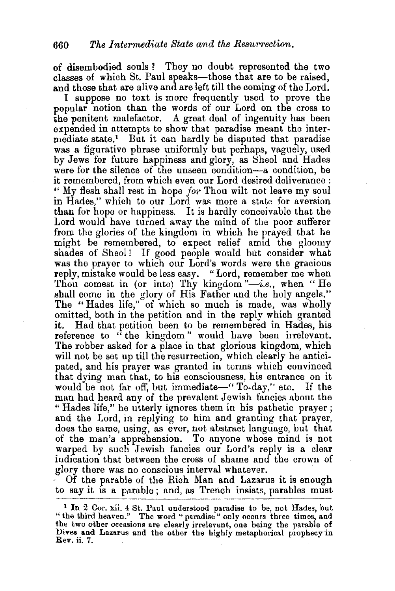of disembodied souls ? They no doubt represented the two classes of which St. Paul speaks-those that are to be raised, and those that are alive and are left till the coming of the Lord.

I suppose no text is more frequently used to prove the popular notion than the words of our Lord on the cross to the penitent malefactor. A great deal of ingenuity has been expended in attempts to show that paradise meant the intermediate state.1 But it can hardly be disputed that paradise was a figurative phrase uniformly but perhaps, vaguely, used by Jews for future happiness and glory, as Sheol and Hades were for the silence of the unseen condition-a condition, be it remembered, from which even our Lord desired deliverance: " My flesh shall rest in hope *for* Thou wilt not leave my soul in Hades," which to our Lord was more a state for aversion than for hope or happiness. It is hardly conceivable that the Lord would have turned away the mind of the poor sufferer from the glories of the kingdom in which he prayed that he might be remembered, to expect relief amid the gloomy shades of Sheol! If good people would but consider what was the prayer to which our Lord's words were the gracious reply, mistake would be less easy. "Lord, remember me when Thou comest in (or into) Thy kingdom "-i.e., when "He shall come in the glory of His Father and the holy angels." The "Hades life," of which so much is made, was wholly omitted, both in the petition and in the reply which granted it. Had that petition been to be remembered in Hades, his reference to "the kingdom" would have been irrelevant. The robber asked for a place in that glorious kingdom, which will not be set up till the resurrection, which clearly he anticipated, and his prayer was granted in terms which convinced that dying man that, to his consciousness, his entrance on it would be not far off, but immediate—" To-day," etc. If the man had heard any of the prevalent Jewish fancies about the " Hades life," he utterly ignores them in his pathetic prayer ; and the Lord, in replying to him and granting that prayer, does the same, using, as ever, not abstract language, but that of the man's apprehension. To anyone whose mind is not warped by such Jewish fancies our Lord's reply is a clear indication that between the cross of shame and the crown of glory there was no conscious interval whatever.<br>• Of the parable of the Rich Man and Lazarus it is enough

to say it is a parable ; and, as Trench insists, parables must

<sup>1</sup>In 2 Cor. xii. 4 St. Paul understood paradise to be, not Hades, but "the third heaven." The word "paradise" only occurs three times, and the two other occasions are clearly irrelevant, one being the parable of Dives and Lazarus and the other the highly metaphorical prophecy in Rev. ii. 7.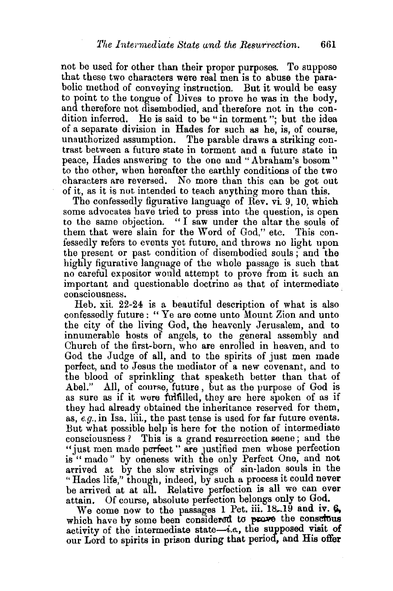not be used for other than their proper purposes. To suppose that these two characters were real men is to abuse the parabolic method of conveying instruction. But it would be easy to point to the tongue of Dives to prove he was in the body, and therefore not disembodied, and therefore not in the condition inferred. He is said to be "in torment "; but the idea of a separate division in Hades for such as he, is, of course, unauthorized assumption. The parable draws a striking contrast between a future state in torment and a future state in peace, Hades answering to the one and "Abraham's bosom" to the other, when hereafter the earthly conditions of the two characters are reversed. No more than this can be got out of it, as it is not intended to teach anything more than this.

The confessedly figurative language of Rev. vi 9, 10, which some advocates have tried to press into the question, is open to the same objection. " I saw under the altar the souls of them that were slain for the Word of God," etc. This confessedly refers to events yet future, and throws no light upon the present or past condition of disembodied souls; and the highly figurative language of the whole passage is such that no careful expositor would attempt to prove from it such an important and questionable doctrine as that of intermediate consciousness. ·

Reb. xii. 22-24 is a beautiful description of what is also confessedly future : " Ye are come unto Mount Zion and unto the city of the living God, the heavenly Jerusalem, and to innumerable hosts of angels, to the general assembly and Church of the first-born, who are enrolled in heaven, and to God the Judge of all, and to the spirits of just men made perfect, and to Jesus the mediator of a new covenant, and to the blood of sprinkling that speaketh better than that of Abel." All, of course, future, but as the purpose of God is as sure as if it were fulfilled, they are here spoken of as if they had already obtained the inheritance reserved for them, as, *e.g.,* in Isa. liii., the past tense is used for far future events. But what possible help is here for the notion of intermediate consciousness ? This is a grand resurrection seene; and the "just men made perfect" are justified men whose perfection is" made" by oneness with the only Perfect One, and not arrived at by the slow strivings of sin-laden souls in the "Hades life," though, indeed, by such a process it could never be arrived at at all. Relative perfection is all we can ever attain. Of course, absolute perfection belongs only to God.

We come now to the passages 1 Pet. iii.  $18-19$  and iv.  $\beta$ , which have by some been considered to prove the conserous activity of the intermediate state-i.e., the supposed visit of our Lord to spirits in prison during that period, and His offer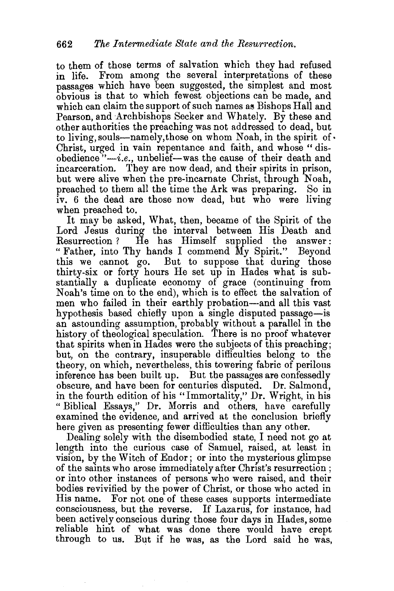to them of those terms of salvation which they had refused in life. From among the several interpretations of these passages which have been suggested, the simplest and most obvious is that to which fewest objections can be made, and which can claim the support of such names as Bishops Hall and Pearson, and Archbishops Seeker and Whately. By these and other authorities the preaching was not addressed to dead, but to living, souls---namely, those on whom Noah, in the spirit of  $\cdot$ Christ, urged in vain repentance and faith, and whose "disobedience *"-i.e.,* unbelief-was the cause of their death and incarceration. They are now dead, and their spirits in prison, but were alive when the pre-incarnate Christ, through Noah, preached to them all the time the Ark was preparing. So in iv. 6 the dead are those now dead, hut who were living when preached to.

It may be asked, What, then, became of the Spirit of the Lord Jesus during the interval between His Death and Resurrection ? He has Himself supplied the answer: "Father, into Thy hands I commend My Spirit." Beyond this we cannot go. But to suppose that during those thirty-six or forty hours He set up in Hades what is substantially a duplicate economy of grace (continuing from Noah's time on to the end), which is to effect the salvation of men who failed in their earthly probation--and all this vast hypothesis based chiefly upon a single disputed passage-is an astounding assumption, probably without a parallel in the history of theological speculation. There is no proof whatever that spirits when in Hades were the subjects of this preaching; but, on the contrary, insuperable difficulties belong to the theory, on which, nevertheless, this towering fabric of perilous inference has been built up. But the passages are confessedly obscure, and have been for centuries disputed. Dr. Salmond, in the fourth edition of his "Immortality," Dr. Wright, in his "Biblical Essays," Dr. Morris and others, have carefully examined the evidence, and arrived at the conclusion briefly here given as presenting fewer difficulties than any other.

Dealing solely with the disembodied state, I need not go at length into the curious case of Samuel, raised, at least in vision, by the Witch of Endor; or into the mysterious glimpse of the saints who arose immediately after Christ's resurrection; or into other instances of persons who were raised, and their bodies revivified by the power of Christ, or those who acted in His name. For not one of these cases supports intermediate consciousness, but the reverse. If Lazarus, for instance, had been actively conscious during those four days in Hades, some reliable hint of what was done there would have crept through to us. But if he was, as the Lord said he was,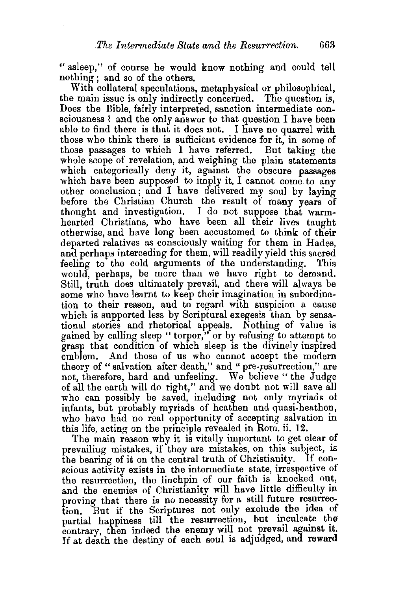" asleep," of course he would know nothing and could tell nothing ; and so of the others.

With collateral speculations, metaphysical or philosophical, the main issue is only indirectly concerned. The question is, Does the Bible, fairly interpreted, sanction intermediate consciousness ? and the only answer to that question  $I$  have been able to find there is that it does not. I have no quarrel with those who think there is sufficient evidence for it, in some of those passages to which I have referred. But taking the whole scope of revelation, and weighing the plain statements which categorically deny it, against the obscure passages which have been supposed to imply it. I cannot come to any other conclusion; and I have delivered my soul by laying before the Christian Church the result of many years of thought and investigation. I do not suppose that warmhearted Christians, who have been all their lives taught otherwise, and have long been accustomed to think of their departed relatives as consciously waiting for them in Hades, and perhaps interceding for them, will readily yield this sacred feeling to the cold arguments of the understanding. This would, perhaps, be more than we have right to demand. Still, truth does ultimately prevail, and there will always be some who have learnt to keep their imagination in subordination to their reason, and to regard with suspicion a cause which is supported less by Scriptural exegesis than by sensational stories and rhetorical appeals. Nothing of value is gained by calling sleep "torpor," or by refusing to attempt to grasp that condition of which sleep is the divinely inspired emblem. And those of us who cannot accept the modern theory of "salvation after death," and " pre-resurrection," are not, therefore, hard and unfeeling. We believe" the Judge of all the earth will do right," and we doubt not will save all who can possibly be saved, including not only myriads of infants, but probably myriads of heathen and quasi-heathen, who have had no real opportunity of accepting salvation in this life, acting on the principle revealed in Rom. ii. 12.

The main reason why it is vitally important to get clear of prevailing mistakes, if they are mistakes, on this subject, is the bearing of it on the central truth of Christianity. If conscious activity exists in the intermediate state, irrespective of the resurrection, the linchpin of our faith is knocked out, and the enemies of Christianity will have little difficulty in proving that there is no necessity for a still future resurrection. But if the Scriptures not only exclude the idea of partial happiness till the resurrection, but inculcate the contrary, then indeed the enemy will not prevail against it. If at death the destiny of each soul is adjudged, and reward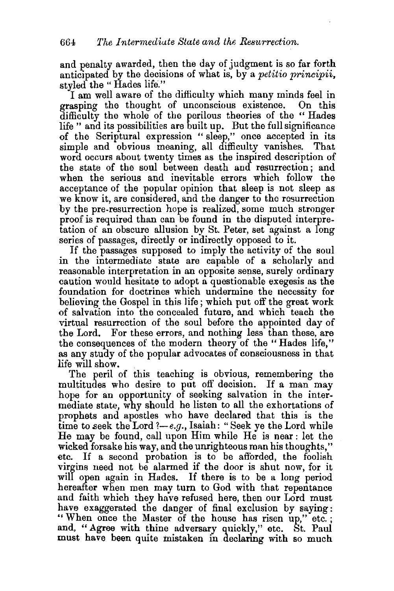and penalty awarded, then the day of judgment is so far forth anticipated by the decisions of what is, by a *petitio principii*, styled the "Hades life."

I am well aware of the difficulty which many minds feel in<br>asping the thought of unconscious existence. On this grasping the thought of unconscious existence. difficulty the whole of the perilous theories of the " Hades life " and its possibilities are built up. But the full significance of the Scriptural expression " sleep," once accepted in its simple and obvious meaning, all difficulty vanishes. That word occurs about twenty times as the inspired description of the state of the soul between death and resurrection; and when the serious and inevitable errors which follow the acceptance of the popular opinion that sleep is not sleep as we know it, are considered, and the danger to the resurrection by the pre-resurrection hope is realized, some much stronger proof is required than can be found in the disputed interpretation of an obscure allusion by St. Peter, set against a long series of passages, directly or indirectly opposed to it.

If the passages supposed to imply the activity of the soul in the intermediate state are capable of a scholarly and reasonable interpretation in an opposite sense, surely ordinary caution would hesitate to adopt a questionable exegesis as the foundation for doctrines which undermine the necessity for believing the Gospel in this life; which put off the great work of salvation into the concealed future, and which teach the virtual resurrection of the soul before the appointed day of the Lord. For these errors, and nothing less than these, are the consequences of the modem theory of the " Hades life," as any study of the popular advocates of consciousness in that

life will show.<br>The peril of this teaching is obvious, remembering the multitudes who desire to put off decision. If a man may hope for an opportunity of seeking salvation in the intermediate state, why should he listen to all the exhortations of prophets and apostles who have declared that this is the time to seek the Lord ?-e.g., Isaiah: "Seek ye the Lord while He may be found, call upon Him while He is near: let the wicked forsake his way, and the unrighteous man his thoughts," etc. If a second probation is to be afforded, the foolish virgins need not be alarmed if the door is shut now, for it will open again in Hades. If there is to be a long period hereafter when men may tum to God with that repentance and faith which they have refused here, then our Lord must have exaggerated the danger of final exclusion by saying: " When once the Master of the house has risen up," etc.; and, "Agree with thine adversary quickly," etc. St. Paul must have been quite mistaken in declaring with so much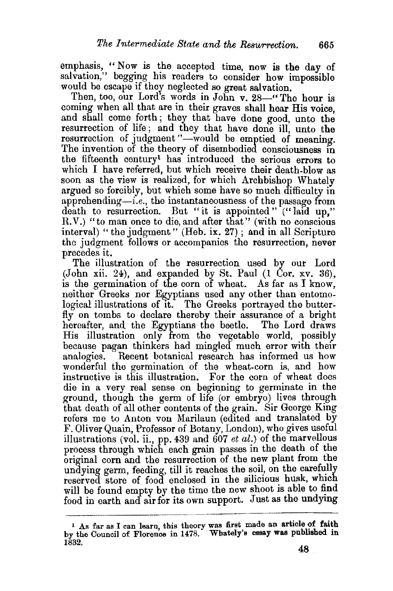emphasis, "Now is the accepted time, now is the day of salvation," begging his readers to consider how impossible would be escape if they neglected so great salvation.

Then, too, our Lord's words in John v. 28-" The hour is coming when all that are in their graves shall hear His voice, and shall come forth; they that have done good, unto the resurrection of life; and they that have done ill, unto the resurrection of judgment "-would be emptied of meaning. The invention of the theory of disembodied consciousness in the fifteenth century1 has introduced the serious errors to which I have referred, but which receive their death-blow as soon as the view is realized, for which Archbishop Whately argued so forcibly, but which some have so much difficulty in apprehending—i.e., the instantaneousness of the passage from death to resurrection. But "it is appointed" ("laid up," R.V.) "to man once to die, and after that" (with no conscious interval) "the judgment" (Heb. ix. 27); and in all Scripture the judgment follows or accompanies the resurrection, never precedes it.

The illustration of the resurrection used by our Lord (John xii. 24), and expanded by St. Paul (1 Cor. xv. 36), is the germination of the corn of wheat. As far as I know, neither Greeks nor Egyptians used any other than entomological illustrations of it. The Greeks portrayed the butterfly on tombs to declare thereby their assurance of a bright hereafter, and the Egyptians the beetle. The Lord draws His illustration only from the vegetable world, possibly because pagan thinkers had mingled much error with their analogies. Recent botanical research has informed us how wonderful the germination of the wheat-corn is, and how instructive is this illustration. For the corn of wheat does die in a very real sense on beginning to germinate in the ground, though the germ of life (or embryo) lives through that death of all other contents of the grain. Sir George King refers me to Anton von Marilaun (edited and translated by F. Oliver Quain, Professor of Botany, London), who gives useful illustrations (vol. ii., pp. 439 and 607 *et al.)* of the marvellous process through which each grain passes in the death of the original corn and the resurrection of the new plant from the undying germ, feeding, till it reaches the soil, on the carefully reserved store of food enclosed in the silicious husk, which will be found empty by the time the new shoot is able to find food in earth and air for its own support. Just as the undying

<sup>&</sup>lt;sup>1</sup> As far as I can learn, this theory was first made an article of faith by the Council of Florence in 1478. Whately's essay was published in 1832.